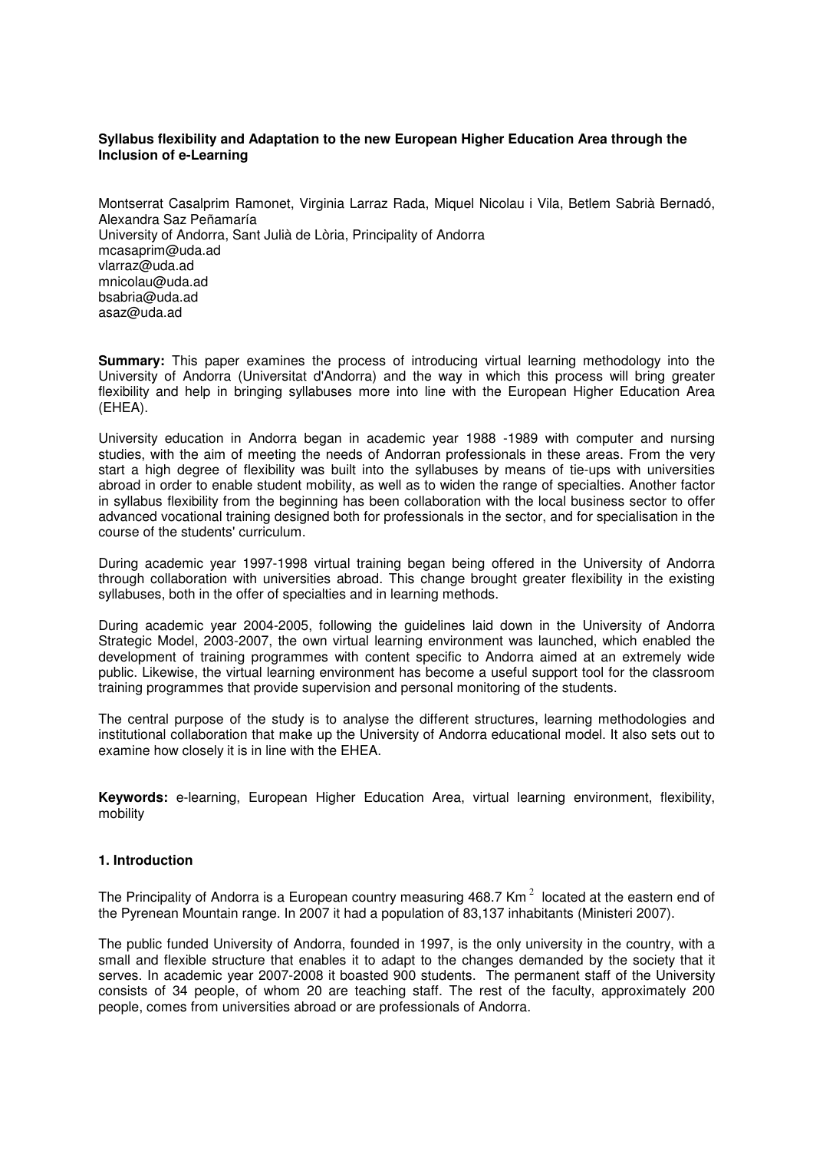# **Syllabus flexibility and Adaptation to the new European Higher Education Area through the Inclusion of e-Learning**

Montserrat Casalprim Ramonet, Virginia Larraz Rada, Miquel Nicolau i Vila, Betlem Sabrià Bernadó, Alexandra Saz Peñamaría University of Andorra, Sant Julià de Lòria, Principality of Andorra mcasaprim@uda.ad vlarraz@uda.ad mnicolau@uda.ad bsabria@uda.ad asaz@uda.ad

**Summary:** This paper examines the process of introducing virtual learning methodology into the University of Andorra (Universitat d'Andorra) and the way in which this process will bring greater flexibility and help in bringing syllabuses more into line with the European Higher Education Area (EHEA).

University education in Andorra began in academic year 1988 -1989 with computer and nursing studies, with the aim of meeting the needs of Andorran professionals in these areas. From the very start a high degree of flexibility was built into the syllabuses by means of tie-ups with universities abroad in order to enable student mobility, as well as to widen the range of specialties. Another factor in syllabus flexibility from the beginning has been collaboration with the local business sector to offer advanced vocational training designed both for professionals in the sector, and for specialisation in the course of the students' curriculum.

During academic year 1997-1998 virtual training began being offered in the University of Andorra through collaboration with universities abroad. This change brought greater flexibility in the existing syllabuses, both in the offer of specialties and in learning methods.

During academic year 2004-2005, following the guidelines laid down in the University of Andorra Strategic Model, 2003-2007, the own virtual learning environment was launched, which enabled the development of training programmes with content specific to Andorra aimed at an extremely wide public. Likewise, the virtual learning environment has become a useful support tool for the classroom training programmes that provide supervision and personal monitoring of the students.

The central purpose of the study is to analyse the different structures, learning methodologies and institutional collaboration that make up the University of Andorra educational model. It also sets out to examine how closely it is in line with the EHEA.

**Keywords:** e-learning, European Higher Education Area, virtual learning environment, flexibility, mobility

# **1. Introduction**

The Principality of Andorra is a European country measuring 468.7 Km<sup>2</sup> located at the eastern end of the Pyrenean Mountain range. In 2007 it had a population of 83,137 inhabitants (Ministeri 2007).

The public funded University of Andorra, founded in 1997, is the only university in the country, with a small and flexible structure that enables it to adapt to the changes demanded by the society that it serves. In academic year 2007-2008 it boasted 900 students. The permanent staff of the University consists of 34 people, of whom 20 are teaching staff. The rest of the faculty, approximately 200 people, comes from universities abroad or are professionals of Andorra.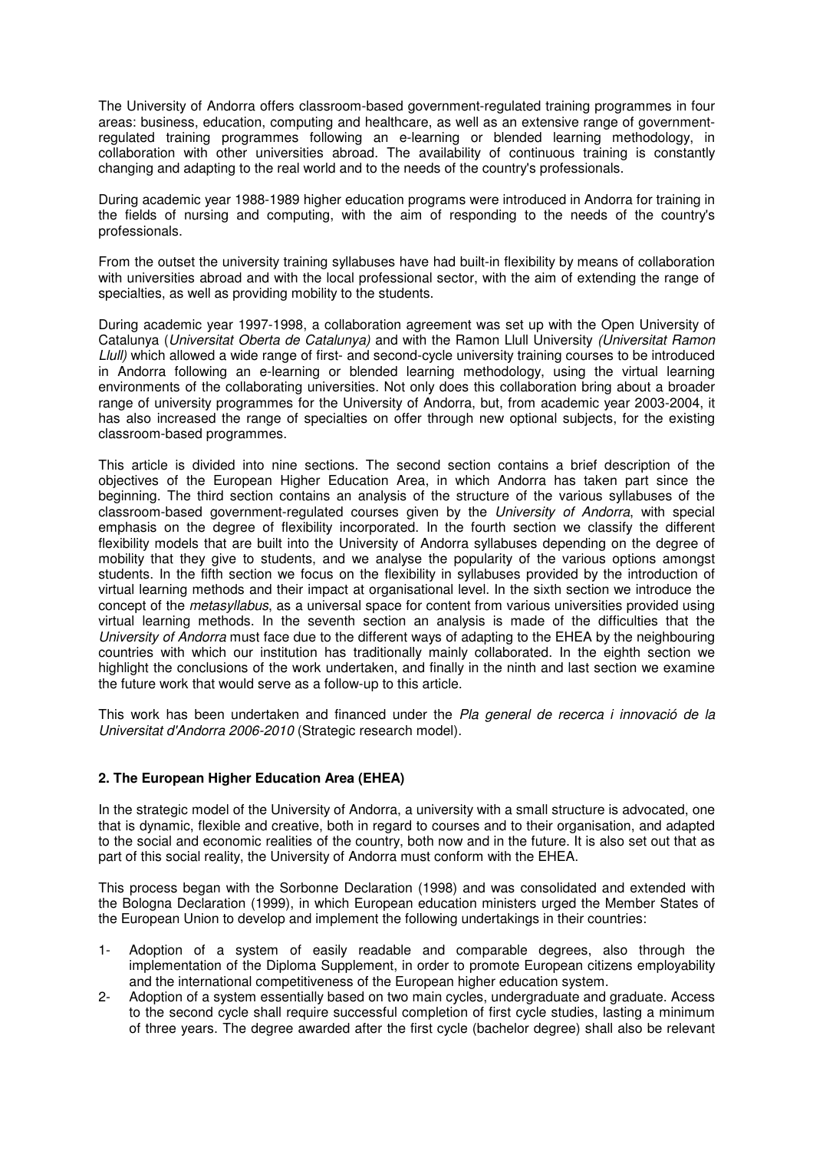The University of Andorra offers classroom-based government-regulated training programmes in four areas: business, education, computing and healthcare, as well as an extensive range of governmentregulated training programmes following an e-learning or blended learning methodology, in collaboration with other universities abroad. The availability of continuous training is constantly changing and adapting to the real world and to the needs of the country's professionals.

During academic year 1988-1989 higher education programs were introduced in Andorra for training in the fields of nursing and computing, with the aim of responding to the needs of the country's professionals.

From the outset the university training syllabuses have had built-in flexibility by means of collaboration with universities abroad and with the local professional sector, with the aim of extending the range of specialties, as well as providing mobility to the students.

During academic year 1997-1998, a collaboration agreement was set up with the Open University of Catalunya (Universitat Oberta de Catalunya) and with the Ramon Llull University (Universitat Ramon Llull) which allowed a wide range of first- and second-cycle university training courses to be introduced in Andorra following an e-learning or blended learning methodology, using the virtual learning environments of the collaborating universities. Not only does this collaboration bring about a broader range of university programmes for the University of Andorra, but, from academic year 2003-2004, it has also increased the range of specialties on offer through new optional subjects, for the existing classroom-based programmes.

This article is divided into nine sections. The second section contains a brief description of the objectives of the European Higher Education Area, in which Andorra has taken part since the beginning. The third section contains an analysis of the structure of the various syllabuses of the classroom-based government-regulated courses given by the University of Andorra, with special emphasis on the degree of flexibility incorporated. In the fourth section we classify the different flexibility models that are built into the University of Andorra syllabuses depending on the degree of mobility that they give to students, and we analyse the popularity of the various options amongst students. In the fifth section we focus on the flexibility in syllabuses provided by the introduction of virtual learning methods and their impact at organisational level. In the sixth section we introduce the concept of the *metasyllabus*, as a universal space for content from various universities provided using virtual learning methods. In the seventh section an analysis is made of the difficulties that the University of Andorra must face due to the different ways of adapting to the EHEA by the neighbouring countries with which our institution has traditionally mainly collaborated. In the eighth section we highlight the conclusions of the work undertaken, and finally in the ninth and last section we examine the future work that would serve as a follow-up to this article.

This work has been undertaken and financed under the Pla general de recerca i innovació de la Universitat d'Andorra 2006-2010 (Strategic research model).

# **2. The European Higher Education Area (EHEA)**

In the strategic model of the University of Andorra, a university with a small structure is advocated, one that is dynamic, flexible and creative, both in regard to courses and to their organisation, and adapted to the social and economic realities of the country, both now and in the future. It is also set out that as part of this social reality, the University of Andorra must conform with the EHEA.

This process began with the Sorbonne Declaration (1998) and was consolidated and extended with the Bologna Declaration (1999), in which European education ministers urged the Member States of the European Union to develop and implement the following undertakings in their countries:

- 1- Adoption of a system of easily readable and comparable degrees, also through the implementation of the Diploma Supplement, in order to promote European citizens employability and the international competitiveness of the European higher education system.
- 2- Adoption of a system essentially based on two main cycles, undergraduate and graduate. Access to the second cycle shall require successful completion of first cycle studies, lasting a minimum of three years. The degree awarded after the first cycle (bachelor degree) shall also be relevant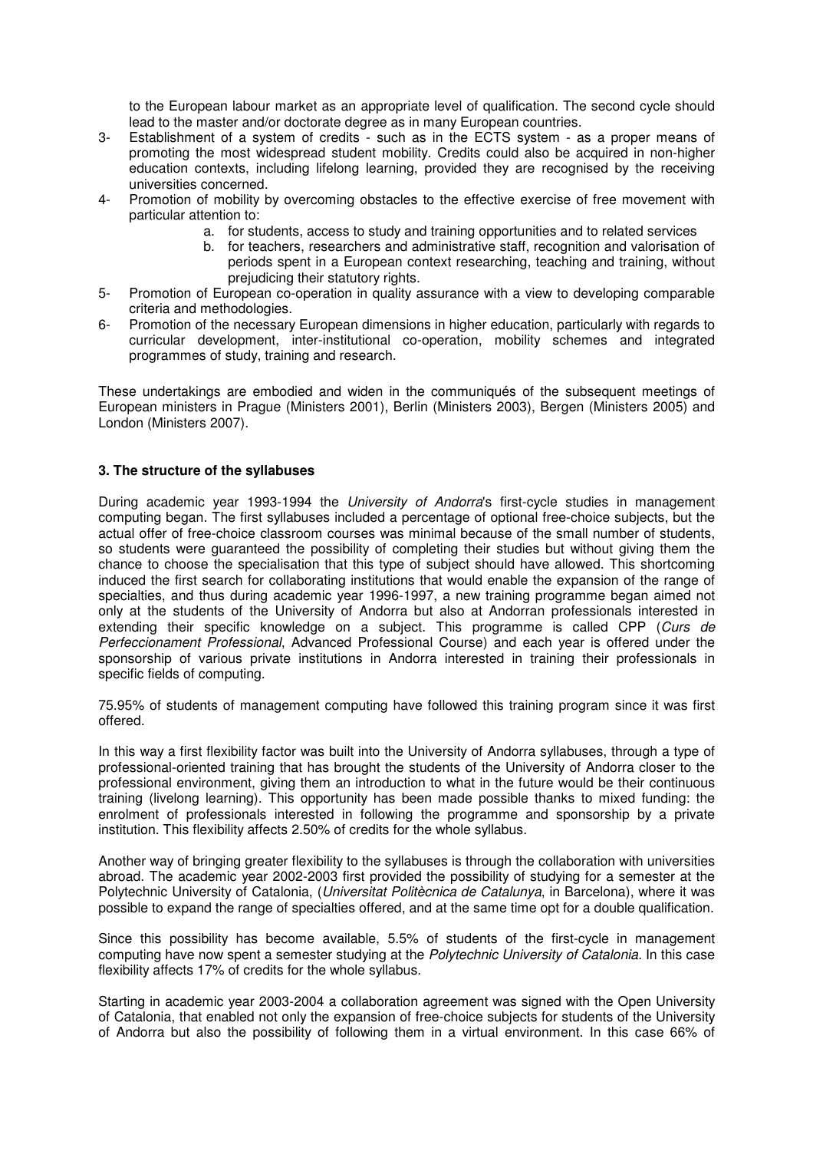to the European labour market as an appropriate level of qualification. The second cycle should lead to the master and/or doctorate degree as in many European countries.

- 3- Establishment of a system of credits such as in the ECTS system as a proper means of promoting the most widespread student mobility. Credits could also be acquired in non-higher education contexts, including lifelong learning, provided they are recognised by the receiving universities concerned.
- 4- Promotion of mobility by overcoming obstacles to the effective exercise of free movement with particular attention to:
	- a. for students, access to study and training opportunities and to related services
	- b. for teachers, researchers and administrative staff, recognition and valorisation of periods spent in a European context researching, teaching and training, without prejudicing their statutory rights.
- 5- Promotion of European co-operation in quality assurance with a view to developing comparable criteria and methodologies.
- 6- Promotion of the necessary European dimensions in higher education, particularly with regards to curricular development, inter-institutional co-operation, mobility schemes and integrated programmes of study, training and research.

These undertakings are embodied and widen in the communiqués of the subsequent meetings of European ministers in Prague (Ministers 2001), Berlin (Ministers 2003), Bergen (Ministers 2005) and London (Ministers 2007).

# **3. The structure of the syllabuses**

During academic year 1993-1994 the University of Andorra's first-cycle studies in management computing began. The first syllabuses included a percentage of optional free-choice subjects, but the actual offer of free-choice classroom courses was minimal because of the small number of students, so students were guaranteed the possibility of completing their studies but without giving them the chance to choose the specialisation that this type of subject should have allowed. This shortcoming induced the first search for collaborating institutions that would enable the expansion of the range of specialties, and thus during academic year 1996-1997, a new training programme began aimed not only at the students of the University of Andorra but also at Andorran professionals interested in extending their specific knowledge on a subject. This programme is called CPP (Curs de Perfeccionament Professional, Advanced Professional Course) and each year is offered under the sponsorship of various private institutions in Andorra interested in training their professionals in specific fields of computing.

75.95% of students of management computing have followed this training program since it was first offered.

In this way a first flexibility factor was built into the University of Andorra syllabuses, through a type of professional-oriented training that has brought the students of the University of Andorra closer to the professional environment, giving them an introduction to what in the future would be their continuous training (livelong learning). This opportunity has been made possible thanks to mixed funding: the enrolment of professionals interested in following the programme and sponsorship by a private institution. This flexibility affects 2.50% of credits for the whole syllabus.

Another way of bringing greater flexibility to the syllabuses is through the collaboration with universities abroad. The academic year 2002-2003 first provided the possibility of studying for a semester at the Polytechnic University of Catalonia, (Universitat Politècnica de Catalunya, in Barcelona), where it was possible to expand the range of specialties offered, and at the same time opt for a double qualification.

Since this possibility has become available, 5.5% of students of the first-cycle in management computing have now spent a semester studying at the Polytechnic University of Catalonia. In this case flexibility affects 17% of credits for the whole syllabus.

Starting in academic year 2003-2004 a collaboration agreement was signed with the Open University of Catalonia, that enabled not only the expansion of free-choice subjects for students of the University of Andorra but also the possibility of following them in a virtual environment. In this case 66% of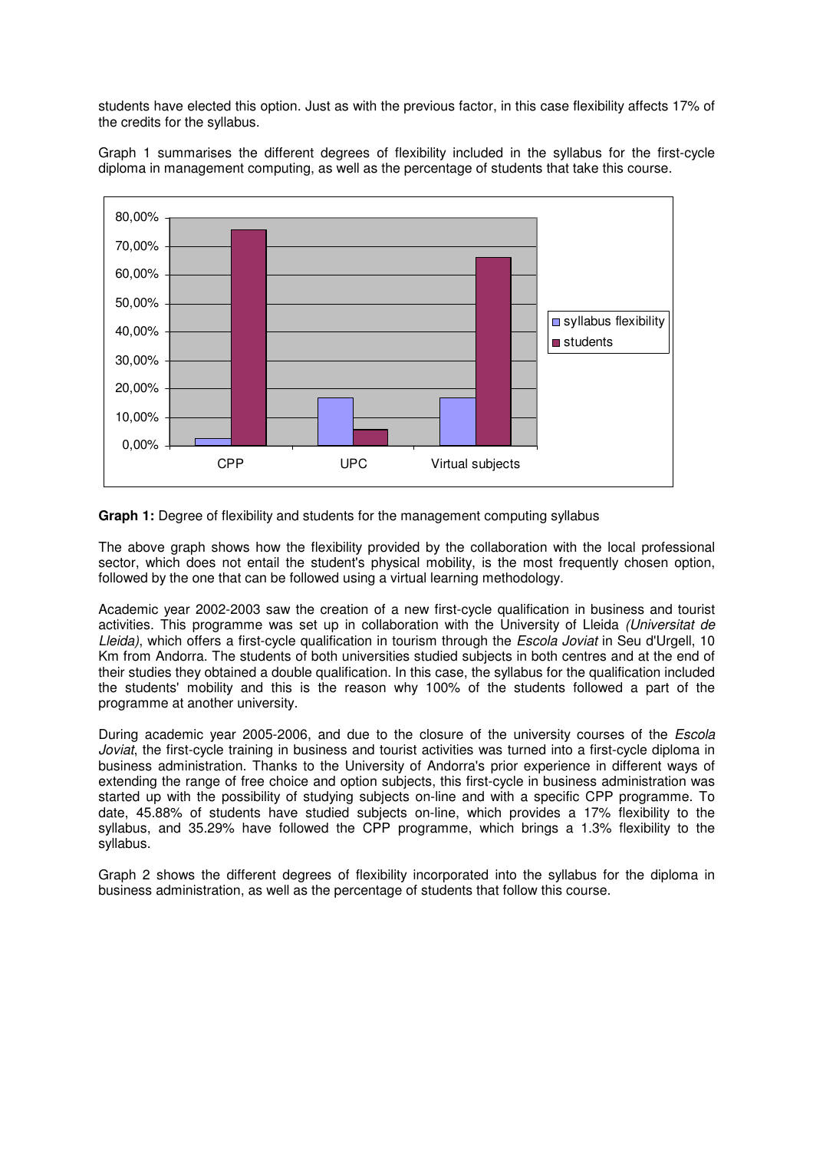students have elected this option. Just as with the previous factor, in this case flexibility affects 17% of the credits for the syllabus.

Graph 1 summarises the different degrees of flexibility included in the syllabus for the first-cycle diploma in management computing, as well as the percentage of students that take this course.



**Graph 1:** Degree of flexibility and students for the management computing syllabus

The above graph shows how the flexibility provided by the collaboration with the local professional sector, which does not entail the student's physical mobility, is the most frequently chosen option, followed by the one that can be followed using a virtual learning methodology.

Academic year 2002-2003 saw the creation of a new first-cycle qualification in business and tourist activities. This programme was set up in collaboration with the University of Lleida (Universitat de Lleida), which offers a first-cycle qualification in tourism through the *Escola Joviat* in Seu d'Urgell, 10 Km from Andorra. The students of both universities studied subjects in both centres and at the end of their studies they obtained a double qualification. In this case, the syllabus for the qualification included the students' mobility and this is the reason why 100% of the students followed a part of the programme at another university.

During academic year 2005-2006, and due to the closure of the university courses of the *Escola* Joviat, the first-cycle training in business and tourist activities was turned into a first-cycle diploma in business administration. Thanks to the University of Andorra's prior experience in different ways of extending the range of free choice and option subjects, this first-cycle in business administration was started up with the possibility of studying subjects on-line and with a specific CPP programme. To date, 45.88% of students have studied subjects on-line, which provides a 17% flexibility to the syllabus, and 35.29% have followed the CPP programme, which brings a 1.3% flexibility to the syllabus.

Graph 2 shows the different degrees of flexibility incorporated into the syllabus for the diploma in business administration, as well as the percentage of students that follow this course.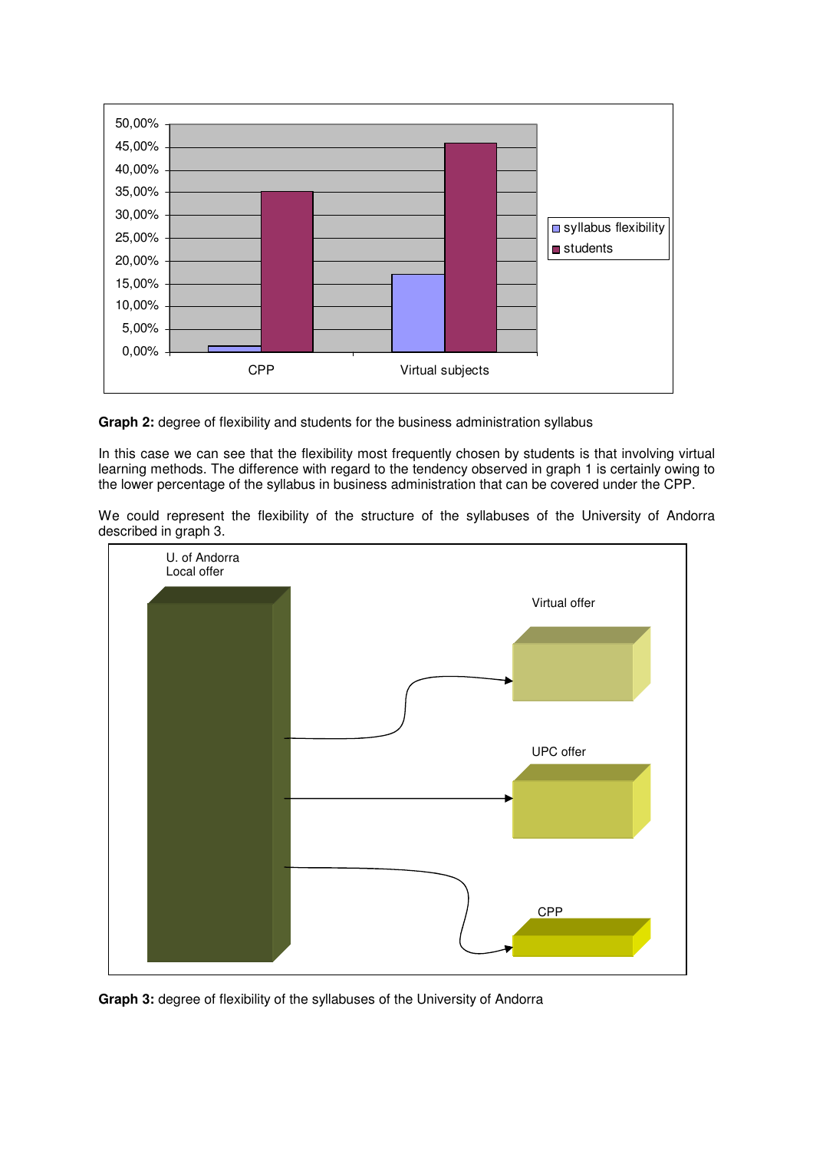

**Graph 2:** degree of flexibility and students for the business administration syllabus

In this case we can see that the flexibility most frequently chosen by students is that involving virtual learning methods. The difference with regard to the tendency observed in graph 1 is certainly owing to the lower percentage of the syllabus in business administration that can be covered under the CPP.

We could represent the flexibility of the structure of the syllabuses of the University of Andorra described in graph 3.



**Graph 3:** degree of flexibility of the syllabuses of the University of Andorra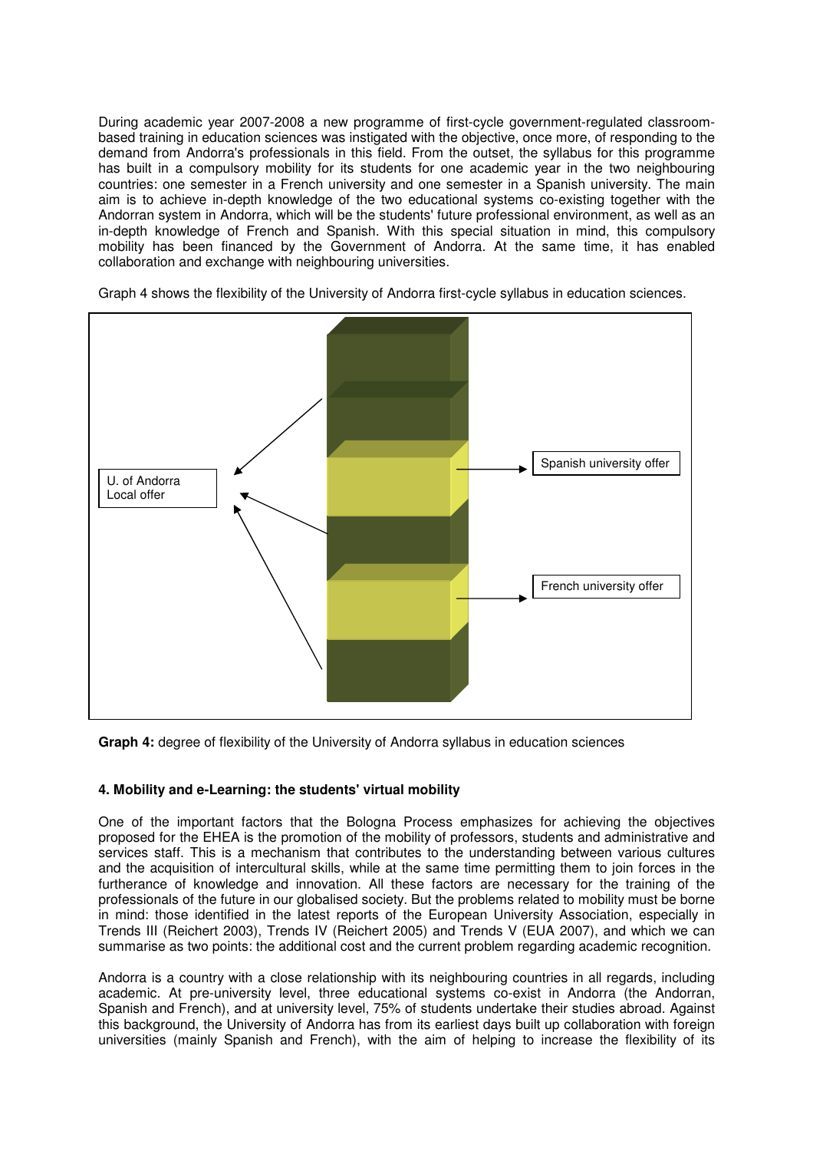During academic year 2007-2008 a new programme of first-cycle government-regulated classroombased training in education sciences was instigated with the objective, once more, of responding to the demand from Andorra's professionals in this field. From the outset, the syllabus for this programme has built in a compulsory mobility for its students for one academic year in the two neighbouring countries: one semester in a French university and one semester in a Spanish university. The main aim is to achieve in-depth knowledge of the two educational systems co-existing together with the Andorran system in Andorra, which will be the students' future professional environment, as well as an in-depth knowledge of French and Spanish. With this special situation in mind, this compulsory mobility has been financed by the Government of Andorra. At the same time, it has enabled collaboration and exchange with neighbouring universities.





**Graph 4:** degree of flexibility of the University of Andorra syllabus in education sciences

# **4. Mobility and e-Learning: the students' virtual mobility**

One of the important factors that the Bologna Process emphasizes for achieving the objectives proposed for the EHEA is the promotion of the mobility of professors, students and administrative and services staff. This is a mechanism that contributes to the understanding between various cultures and the acquisition of intercultural skills, while at the same time permitting them to join forces in the furtherance of knowledge and innovation. All these factors are necessary for the training of the professionals of the future in our globalised society. But the problems related to mobility must be borne in mind: those identified in the latest reports of the European University Association, especially in Trends III (Reichert 2003), Trends IV (Reichert 2005) and Trends V (EUA 2007), and which we can summarise as two points: the additional cost and the current problem regarding academic recognition.

Andorra is a country with a close relationship with its neighbouring countries in all regards, including academic. At pre-university level, three educational systems co-exist in Andorra (the Andorran, Spanish and French), and at university level, 75% of students undertake their studies abroad. Against this background, the University of Andorra has from its earliest days built up collaboration with foreign universities (mainly Spanish and French), with the aim of helping to increase the flexibility of its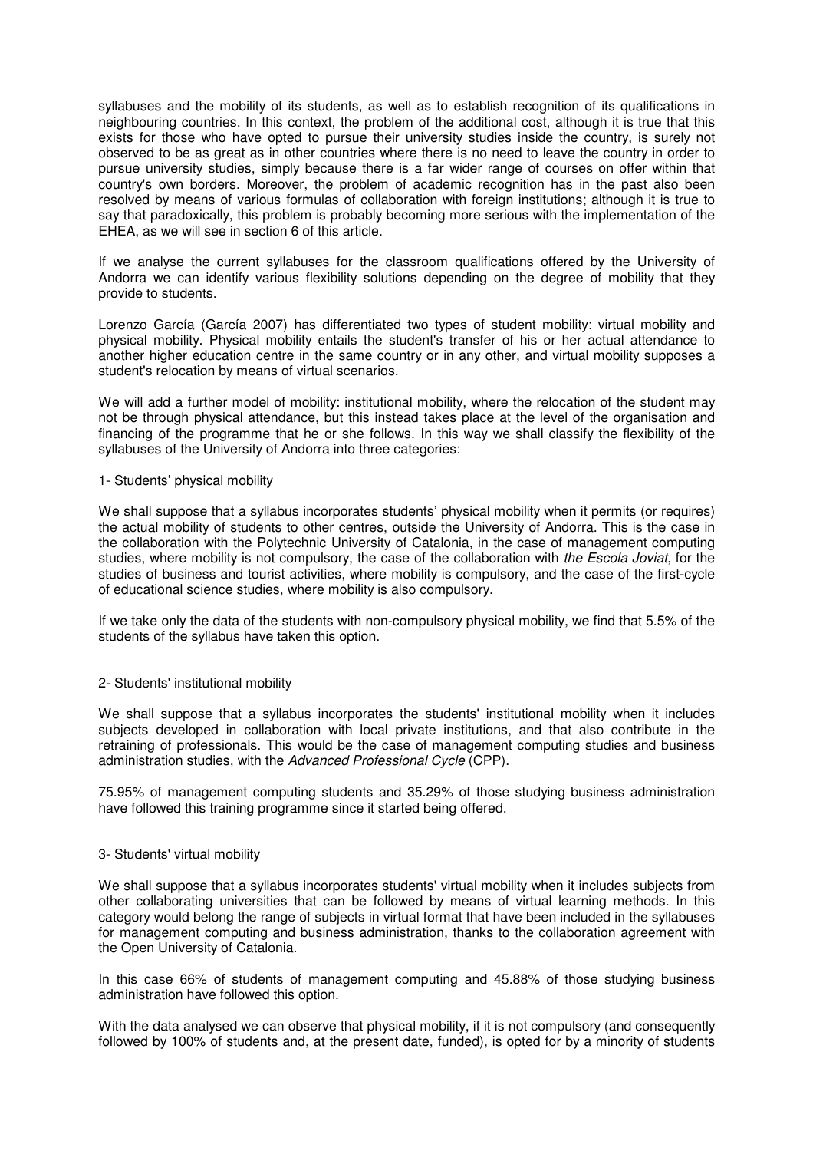syllabuses and the mobility of its students, as well as to establish recognition of its qualifications in neighbouring countries. In this context, the problem of the additional cost, although it is true that this exists for those who have opted to pursue their university studies inside the country, is surely not observed to be as great as in other countries where there is no need to leave the country in order to pursue university studies, simply because there is a far wider range of courses on offer within that country's own borders. Moreover, the problem of academic recognition has in the past also been resolved by means of various formulas of collaboration with foreign institutions; although it is true to say that paradoxically, this problem is probably becoming more serious with the implementation of the EHEA, as we will see in section 6 of this article.

If we analyse the current syllabuses for the classroom qualifications offered by the University of Andorra we can identify various flexibility solutions depending on the degree of mobility that they provide to students.

Lorenzo García (García 2007) has differentiated two types of student mobility: virtual mobility and physical mobility. Physical mobility entails the student's transfer of his or her actual attendance to another higher education centre in the same country or in any other, and virtual mobility supposes a student's relocation by means of virtual scenarios.

We will add a further model of mobility: institutional mobility, where the relocation of the student may not be through physical attendance, but this instead takes place at the level of the organisation and financing of the programme that he or she follows. In this way we shall classify the flexibility of the syllabuses of the University of Andorra into three categories:

### 1- Students' physical mobility

We shall suppose that a syllabus incorporates students' physical mobility when it permits (or requires) the actual mobility of students to other centres, outside the University of Andorra. This is the case in the collaboration with the Polytechnic University of Catalonia, in the case of management computing studies, where mobility is not compulsory, the case of the collaboration with the Escola Joviat, for the studies of business and tourist activities, where mobility is compulsory, and the case of the first-cycle of educational science studies, where mobility is also compulsory.

If we take only the data of the students with non-compulsory physical mobility, we find that 5.5% of the students of the syllabus have taken this option.

### 2- Students' institutional mobility

We shall suppose that a syllabus incorporates the students' institutional mobility when it includes subjects developed in collaboration with local private institutions, and that also contribute in the retraining of professionals. This would be the case of management computing studies and business administration studies, with the Advanced Professional Cycle (CPP).

75.95% of management computing students and 35.29% of those studying business administration have followed this training programme since it started being offered.

#### 3- Students' virtual mobility

We shall suppose that a syllabus incorporates students' virtual mobility when it includes subjects from other collaborating universities that can be followed by means of virtual learning methods. In this category would belong the range of subjects in virtual format that have been included in the syllabuses for management computing and business administration, thanks to the collaboration agreement with the Open University of Catalonia.

In this case 66% of students of management computing and 45.88% of those studying business administration have followed this option.

With the data analysed we can observe that physical mobility, if it is not compulsory (and consequently followed by 100% of students and, at the present date, funded), is opted for by a minority of students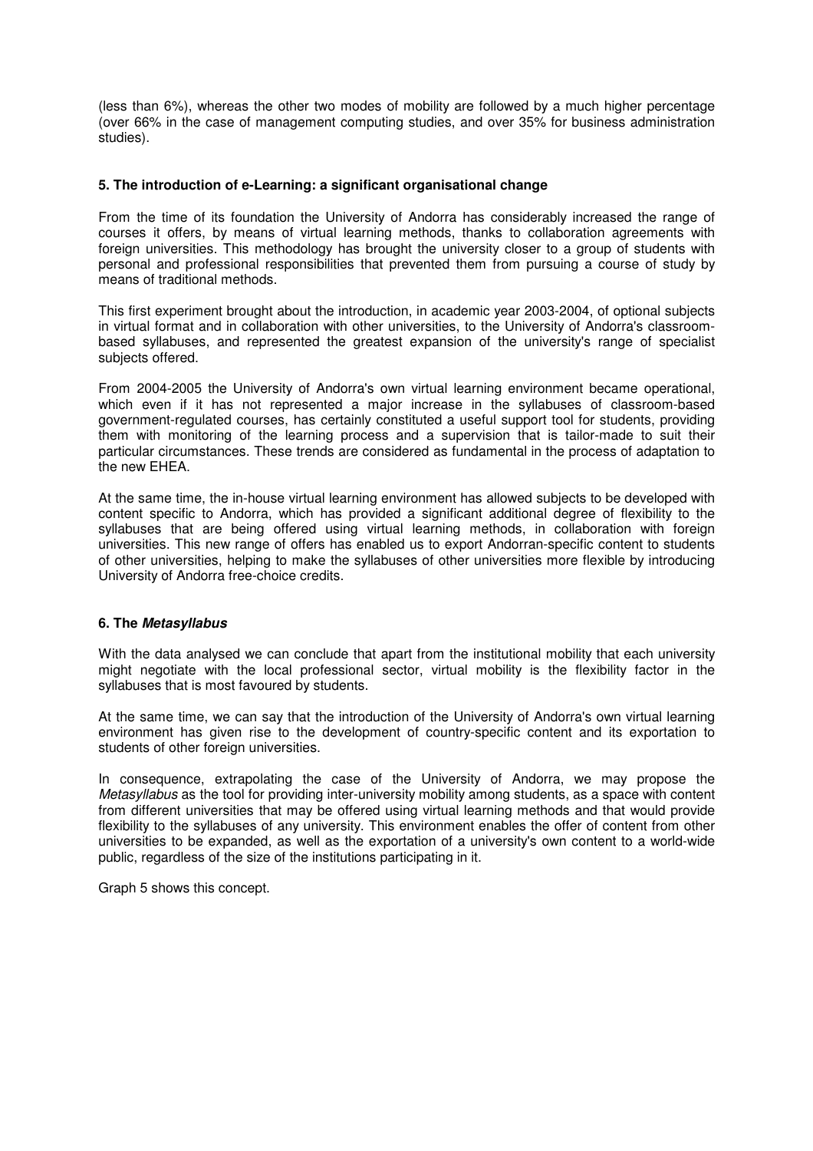(less than 6%), whereas the other two modes of mobility are followed by a much higher percentage (over 66% in the case of management computing studies, and over 35% for business administration studies).

### **5. The introduction of e-Learning: a significant organisational change**

From the time of its foundation the University of Andorra has considerably increased the range of courses it offers, by means of virtual learning methods, thanks to collaboration agreements with foreign universities. This methodology has brought the university closer to a group of students with personal and professional responsibilities that prevented them from pursuing a course of study by means of traditional methods.

This first experiment brought about the introduction, in academic year 2003-2004, of optional subjects in virtual format and in collaboration with other universities, to the University of Andorra's classroombased syllabuses, and represented the greatest expansion of the university's range of specialist subjects offered.

From 2004-2005 the University of Andorra's own virtual learning environment became operational, which even if it has not represented a major increase in the syllabuses of classroom-based government-regulated courses, has certainly constituted a useful support tool for students, providing them with monitoring of the learning process and a supervision that is tailor-made to suit their particular circumstances. These trends are considered as fundamental in the process of adaptation to the new EHEA.

At the same time, the in-house virtual learning environment has allowed subjects to be developed with content specific to Andorra, which has provided a significant additional degree of flexibility to the syllabuses that are being offered using virtual learning methods, in collaboration with foreign universities. This new range of offers has enabled us to export Andorran-specific content to students of other universities, helping to make the syllabuses of other universities more flexible by introducing University of Andorra free-choice credits.

### **6. The Metasyllabus**

With the data analysed we can conclude that apart from the institutional mobility that each university might negotiate with the local professional sector, virtual mobility is the flexibility factor in the syllabuses that is most favoured by students.

At the same time, we can say that the introduction of the University of Andorra's own virtual learning environment has given rise to the development of country-specific content and its exportation to students of other foreign universities.

In consequence, extrapolating the case of the University of Andorra, we may propose the Metasyllabus as the tool for providing inter-university mobility among students, as a space with content from different universities that may be offered using virtual learning methods and that would provide flexibility to the syllabuses of any university. This environment enables the offer of content from other universities to be expanded, as well as the exportation of a university's own content to a world-wide public, regardless of the size of the institutions participating in it.

Graph 5 shows this concept.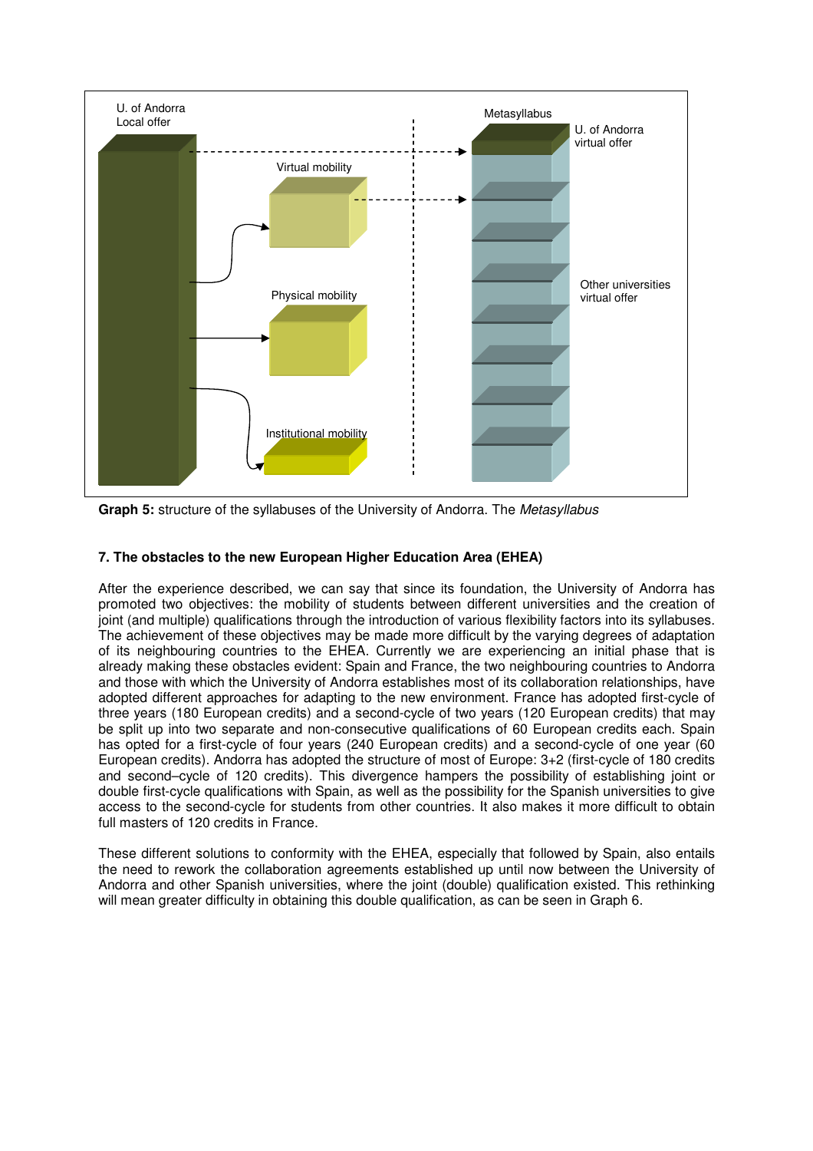

**Graph 5:** structure of the syllabuses of the University of Andorra. The Metasyllabus

# **7. The obstacles to the new European Higher Education Area (EHEA)**

After the experience described, we can say that since its foundation, the University of Andorra has promoted two objectives: the mobility of students between different universities and the creation of joint (and multiple) qualifications through the introduction of various flexibility factors into its syllabuses. The achievement of these objectives may be made more difficult by the varying degrees of adaptation of its neighbouring countries to the EHEA. Currently we are experiencing an initial phase that is already making these obstacles evident: Spain and France, the two neighbouring countries to Andorra and those with which the University of Andorra establishes most of its collaboration relationships, have adopted different approaches for adapting to the new environment. France has adopted first-cycle of three years (180 European credits) and a second-cycle of two years (120 European credits) that may be split up into two separate and non-consecutive qualifications of 60 European credits each. Spain has opted for a first-cycle of four years (240 European credits) and a second-cycle of one year (60 European credits). Andorra has adopted the structure of most of Europe: 3+2 (first-cycle of 180 credits and second–cycle of 120 credits). This divergence hampers the possibility of establishing joint or double first-cycle qualifications with Spain, as well as the possibility for the Spanish universities to give access to the second-cycle for students from other countries. It also makes it more difficult to obtain full masters of 120 credits in France.

These different solutions to conformity with the EHEA, especially that followed by Spain, also entails the need to rework the collaboration agreements established up until now between the University of Andorra and other Spanish universities, where the joint (double) qualification existed. This rethinking will mean greater difficulty in obtaining this double qualification, as can be seen in Graph 6.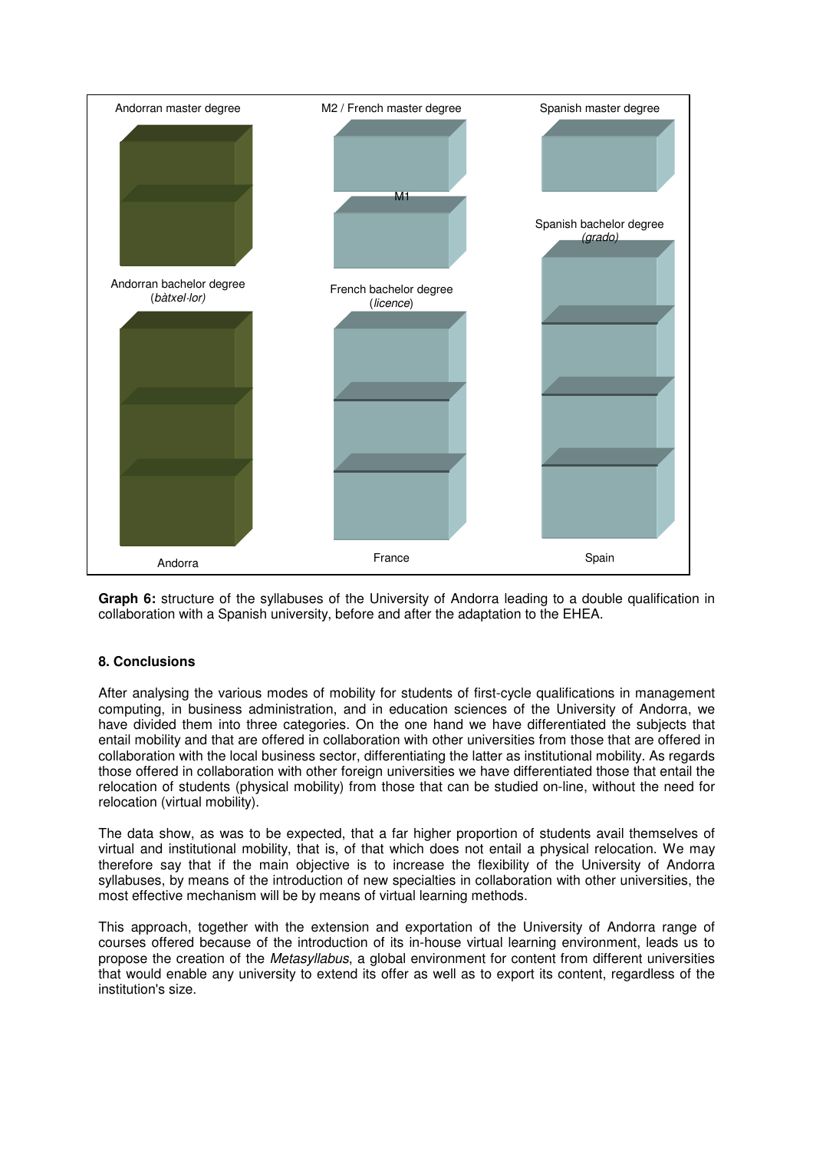

**Graph 6:** structure of the syllabuses of the University of Andorra leading to a double qualification in collaboration with a Spanish university, before and after the adaptation to the EHEA.

# **8. Conclusions**

After analysing the various modes of mobility for students of first-cycle qualifications in management computing, in business administration, and in education sciences of the University of Andorra, we have divided them into three categories. On the one hand we have differentiated the subjects that entail mobility and that are offered in collaboration with other universities from those that are offered in collaboration with the local business sector, differentiating the latter as institutional mobility. As regards those offered in collaboration with other foreign universities we have differentiated those that entail the relocation of students (physical mobility) from those that can be studied on-line, without the need for relocation (virtual mobility).

The data show, as was to be expected, that a far higher proportion of students avail themselves of virtual and institutional mobility, that is, of that which does not entail a physical relocation. We may therefore say that if the main objective is to increase the flexibility of the University of Andorra syllabuses, by means of the introduction of new specialties in collaboration with other universities, the most effective mechanism will be by means of virtual learning methods.

This approach, together with the extension and exportation of the University of Andorra range of courses offered because of the introduction of its in-house virtual learning environment, leads us to propose the creation of the Metasyllabus, a global environment for content from different universities that would enable any university to extend its offer as well as to export its content, regardless of the institution's size.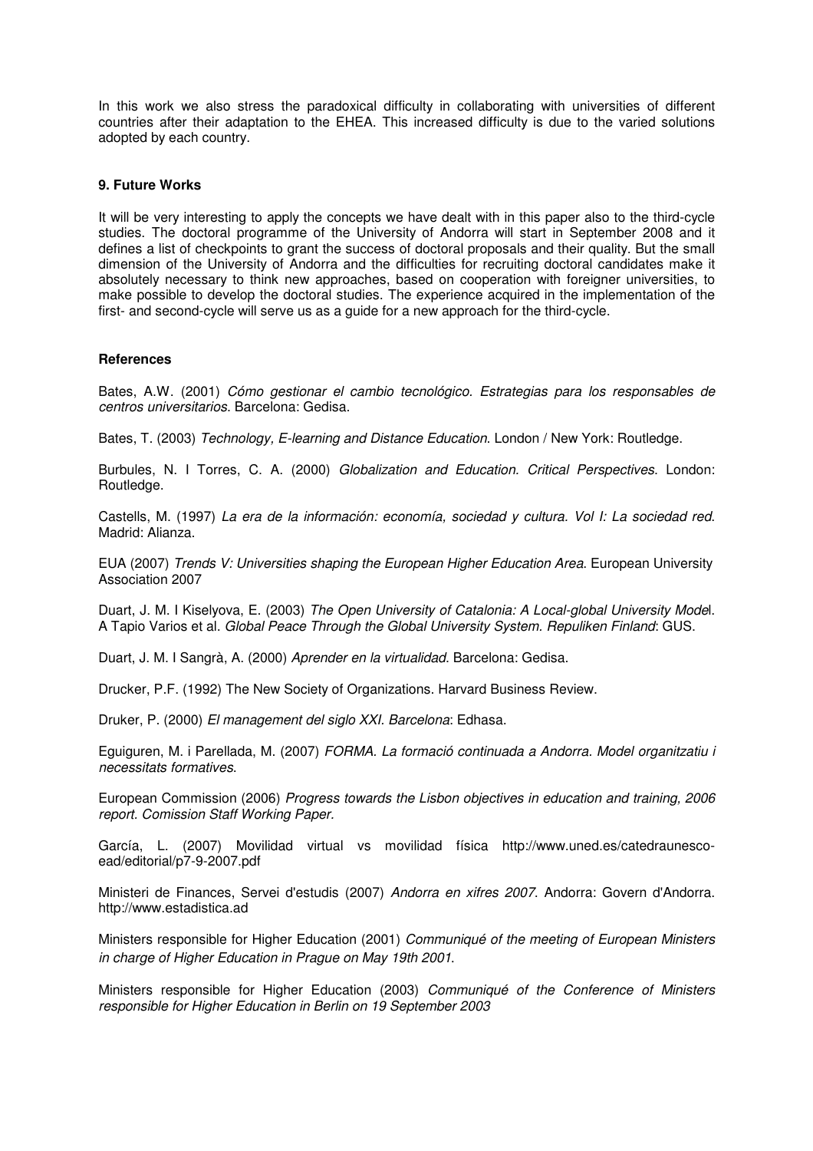In this work we also stress the paradoxical difficulty in collaborating with universities of different countries after their adaptation to the EHEA. This increased difficulty is due to the varied solutions adopted by each country.

### **9. Future Works**

It will be very interesting to apply the concepts we have dealt with in this paper also to the third-cycle studies. The doctoral programme of the University of Andorra will start in September 2008 and it defines a list of checkpoints to grant the success of doctoral proposals and their quality. But the small dimension of the University of Andorra and the difficulties for recruiting doctoral candidates make it absolutely necessary to think new approaches, based on cooperation with foreigner universities, to make possible to develop the doctoral studies. The experience acquired in the implementation of the first- and second-cycle will serve us as a guide for a new approach for the third-cycle.

### **References**

Bates, A.W. (2001) Cómo gestionar el cambio tecnológico. Estrategias para los responsables de centros universitarios. Barcelona: Gedisa.

Bates, T. (2003) Technology, E-learning and Distance Education. London / New York: Routledge.

Burbules, N. I Torres, C. A. (2000) Globalization and Education. Critical Perspectives. London: Routledge.

Castells, M. (1997) La era de la información: economía, sociedad y cultura. Vol I: La sociedad red. Madrid: Alianza.

EUA (2007) Trends V: Universities shaping the European Higher Education Area. European University Association 2007

Duart, J. M. I Kiselyova, E. (2003) The Open University of Catalonia: A Local-global University Model. A Tapio Varios et al. Global Peace Through the Global University System. Repuliken Finland: GUS.

Duart, J. M. I Sangrà, A. (2000) Aprender en la virtualidad. Barcelona: Gedisa.

Drucker, P.F. (1992) The New Society of Organizations. Harvard Business Review.

Druker, P. (2000) El management del siglo XXI. Barcelona: Edhasa.

Eguiguren, M. i Parellada, M. (2007) FORMA. La formació continuada a Andorra. Model organitzatiu i necessitats formatives.

European Commission (2006) Progress towards the Lisbon objectives in education and training, 2006 report. Comission Staff Working Paper.

García, L. (2007) Movilidad virtual vs movilidad física http://www.uned.es/catedraunescoead/editorial/p7-9-2007.pdf

Ministeri de Finances, Servei d'estudis (2007) Andorra en xifres 2007. Andorra: Govern d'Andorra. http://www.estadistica.ad

Ministers responsible for Higher Education (2001) Communiqué of the meeting of European Ministers in charge of Higher Education in Prague on May 19th 2001.

Ministers responsible for Higher Education (2003) Communiqué of the Conference of Ministers responsible for Higher Education in Berlin on 19 September 2003